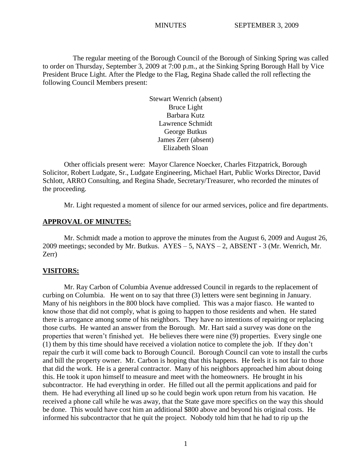The regular meeting of the Borough Council of the Borough of Sinking Spring was called to order on Thursday, September 3, 2009 at 7:00 p.m., at the Sinking Spring Borough Hall by Vice President Bruce Light. After the Pledge to the Flag, Regina Shade called the roll reflecting the following Council Members present:

> Stewart Wenrich (absent) Bruce Light Barbara Kutz Lawrence Schmidt George Butkus James Zerr (absent) Elizabeth Sloan

Other officials present were: Mayor Clarence Noecker, Charles Fitzpatrick, Borough Solicitor, Robert Ludgate, Sr., Ludgate Engineering, Michael Hart, Public Works Director, David Schlott, ARRO Consulting, and Regina Shade, Secretary/Treasurer, who recorded the minutes of the proceeding.

Mr. Light requested a moment of silence for our armed services, police and fire departments.

### **APPROVAL OF MINUTES:**

Mr. Schmidt made a motion to approve the minutes from the August 6, 2009 and August 26, 2009 meetings; seconded by Mr. Butkus. AYES – 5, NAYS – 2, ABSENT - 3 (Mr. Wenrich, Mr. Zerr)

#### **VISITORS:**

Mr. Ray Carbon of Columbia Avenue addressed Council in regards to the replacement of curbing on Columbia. He went on to say that three (3) letters were sent beginning in January. Many of his neighbors in the 800 block have complied. This was a major fiasco. He wanted to know those that did not comply, what is going to happen to those residents and when. He stated there is arrogance among some of his neighbors. They have no intentions of repairing or replacing those curbs. He wanted an answer from the Borough. Mr. Hart said a survey was done on the properties that weren't finished yet. He believes there were nine (9) properties. Every single one (1) them by this time should have received a violation notice to complete the job. If they don't repair the curb it will come back to Borough Council. Borough Council can vote to install the curbs and bill the property owner. Mr. Carbon is hoping that this happens. He feels it is not fair to those that did the work. He is a general contractor. Many of his neighbors approached him about doing this. He took it upon himself to measure and meet with the homeowners. He brought in his subcontractor. He had everything in order. He filled out all the permit applications and paid for them. He had everything all lined up so he could begin work upon return from his vacation. He received a phone call while he was away, that the State gave more specifics on the way this should be done. This would have cost him an additional \$800 above and beyond his original costs. He informed his subcontractor that he quit the project. Nobody told him that he had to rip up the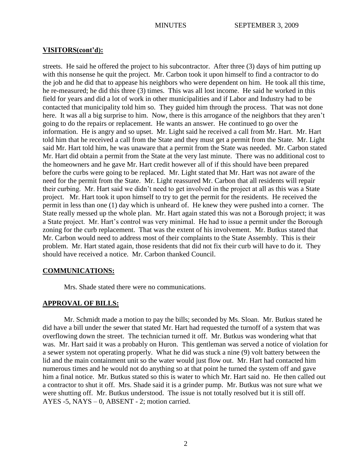## **VISITORS(cont'd):**

streets. He said he offered the project to his subcontractor. After three (3) days of him putting up with this nonsense he quit the project. Mr. Carbon took it upon himself to find a contractor to do the job and he did that to appease his neighbors who were dependent on him. He took all this time, he re-measured; he did this three (3) times. This was all lost income. He said he worked in this field for years and did a lot of work in other municipalities and if Labor and Industry had to be contacted that municipality told him so. They guided him through the process. That was not done here. It was all a big surprise to him. Now, there is this arrogance of the neighbors that they aren't going to do the repairs or replacement. He wants an answer. He continued to go over the information. He is angry and so upset. Mr. Light said he received a call from Mr. Hart. Mr. Hart told him that he received a call from the State and they must get a permit from the State. Mr. Light said Mr. Hart told him, he was unaware that a permit from the State was needed. Mr. Carbon stated Mr. Hart did obtain a permit from the State at the very last minute. There was no additional cost to the homeowners and he gave Mr. Hart credit however all of if this should have been prepared before the curbs were going to be replaced. Mr. Light stated that Mr. Hart was not aware of the need for the permit from the State. Mr. Light reassured Mr. Carbon that all residents will repair their curbing. Mr. Hart said we didn't need to get involved in the project at all as this was a State project. Mr. Hart took it upon himself to try to get the permit for the residents. He received the permit in less than one (1) day which is unheard of. He knew they were pushed into a corner. The State really messed up the whole plan. Mr. Hart again stated this was not a Borough project; it was a State project. Mr. Hart's control was very minimal. He had to issue a permit under the Borough zoning for the curb replacement. That was the extent of his involvement. Mr. Butkus stated that Mr. Carbon would need to address most of their complaints to the State Assembly. This is their problem. Mr. Hart stated again, those residents that did not fix their curb will have to do it. They should have received a notice. Mr. Carbon thanked Council.

#### **COMMUNICATIONS:**

Mrs. Shade stated there were no communications.

## **APPROVAL OF BILLS:**

Mr. Schmidt made a motion to pay the bills; seconded by Ms. Sloan. Mr. Butkus stated he did have a bill under the sewer that stated Mr. Hart had requested the turnoff of a system that was overflowing down the street. The technician turned it off. Mr. Butkus was wondering what that was. Mr. Hart said it was a probably on Huron. This gentleman was served a notice of violation for a sewer system not operating properly. What he did was stuck a nine (9) volt battery between the lid and the main containment unit so the water would just flow out. Mr. Hart had contacted him numerous times and he would not do anything so at that point he turned the system off and gave him a final notice. Mr. Butkus stated so this is water to which Mr. Hart said no. He then called out a contractor to shut it off. Mrs. Shade said it is a grinder pump. Mr. Butkus was not sure what we were shutting off. Mr. Butkus understood. The issue is not totally resolved but it is still off. AYES -5, NAYS – 0, ABSENT - 2; motion carried.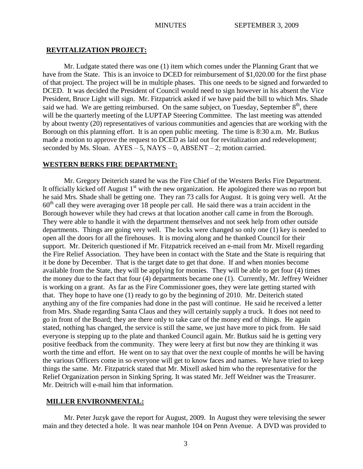#### **REVITALIZATION PROJECT:**

Mr. Ludgate stated there was one (1) item which comes under the Planning Grant that we have from the State. This is an invoice to DCED for reimbursement of \$1,020.00 for the first phase of that project. The project will be in multiple phases. This one needs to be signed and forwarded to DCED. It was decided the President of Council would need to sign however in his absent the Vice President, Bruce Light will sign. Mr. Fitzpatrick asked if we have paid the bill to which Mrs. Shade said we had. We are getting reimbursed. On the same subject, on Tuesday, September  $8<sup>th</sup>$ , there will be the quarterly meeting of the LUPTAP Steering Committee. The last meeting was attended by about twenty (20) representatives of various communities and agencies that are working with the Borough on this planning effort. It is an open public meeting. The time is 8:30 a.m. Mr. Butkus made a motion to approve the request to DCED as laid out for revitalization and redevelopment; seconded by Ms. Sloan.  $AYES - 5$ ,  $NAYS - 0$ ,  $ABSENT - 2$ ; motion carried.

#### **WESTERN BERKS FIRE DEPARTMENT:**

Mr. Gregory Deiterich stated he was the Fire Chief of the Western Berks Fire Department. It officially kicked off August  $1<sup>st</sup>$  with the new organization. He apologized there was no report but he said Mrs. Shade shall be getting one. They ran 73 calls for August. It is going very well. At the  $60<sup>th</sup>$  call they were averaging over 18 people per call. He said there was a train accident in the Borough however while they had crews at that location another call came in from the Borough. They were able to handle it with the department themselves and not seek help from other outside departments. Things are going very well. The locks were changed so only one (1) key is needed to open all the doors for all the firehouses. It is moving along and he thanked Council for their support. Mr. Deiterich questioned if Mr. Fitzpatrick received an e-mail from Mr. Mixell regarding the Fire Relief Association. They have been in contact with the State and the State is requiring that it be done by December. That is the target date to get that done. If and when monies become available from the State, they will be applying for monies. They will be able to get four (4) times the money due to the fact that four (4) departments became one (1). Currently, Mr. Jeffrey Weidner is working on a grant. As far as the Fire Commissioner goes, they were late getting started with that. They hope to have one (1) ready to go by the beginning of 2010. Mr. Deiterich stated anything any of the fire companies had done in the past will continue. He said he received a letter from Mrs. Shade regarding Santa Claus and they will certainly supply a truck. It does not need to go in front of the Board; they are there only to take care of the money end of things. He again stated, nothing has changed, the service is still the same, we just have more to pick from. He said everyone is stepping up to the plate and thanked Council again. Mr. Butkus said he is getting very positive feedback from the community. They were leery at first but now they are thinking it was worth the time and effort. He went on to say that over the next couple of months he will be having the various Officers come in so everyone will get to know faces and names. We have tried to keep things the same. Mr. Fitzpatrick stated that Mr. Mixell asked him who the representative for the Relief Organization person in Sinking Spring. It was stated Mr. Jeff Weidner was the Treasurer. Mr. Deitrich will e-mail him that information.

#### **MILLER ENVIRONMENTAL:**

Mr. Peter Juzyk gave the report for August, 2009. In August they were televising the sewer main and they detected a hole. It was near manhole 104 on Penn Avenue. A DVD was provided to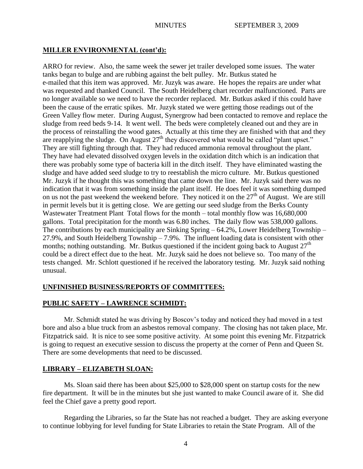# **MILLER ENVIRONMENTAL (cont'd):**

ARRO for review. Also, the same week the sewer jet trailer developed some issues. The water tanks began to bulge and are rubbing against the belt pulley. Mr. Butkus stated he e-mailed that this item was approved. Mr. Juzyk was aware. He hopes the repairs are under what was requested and thanked Council. The South Heidelberg chart recorder malfunctioned. Parts are no longer available so we need to have the recorder replaced. Mr. Butkus asked if this could have been the cause of the erratic spikes. Mr. Juzyk stated we were getting those readings out of the Green Valley flow meter. During August, Synergrow had been contacted to remove and replace the sludge from reed beds 9-14. It went well. The beds were completely cleaned out and they are in the process of reinstalling the wood gates. Actually at this time they are finished with that and they are reapplying the sludge. On August 27<sup>th</sup> they discovered what would be called "plant upset." They are still fighting through that. They had reduced ammonia removal throughout the plant. They have had elevated dissolved oxygen levels in the oxidation ditch which is an indication that there was probably some type of bacteria kill in the ditch itself. They have eliminated wasting the sludge and have added seed sludge to try to reestablish the micro culture. Mr. Butkus questioned Mr. Juzyk if he thought this was something that came down the line. Mr. Juzyk said there was no indication that it was from something inside the plant itself. He does feel it was something dumped on us not the past weekend the weekend before. They noticed it on the 27<sup>th</sup> of August. We are still in permit levels but it is getting close. We are getting our seed sludge from the Berks County Wastewater Treatment Plant Total flows for the month – total monthly flow was 16,680,000 gallons. Total precipitation for the month was 6.80 inches. The daily flow was 538,000 gallons. The contributions by each municipality are Sinking Spring – 64.2%, Lower Heidelberg Township – 27.9%, and South Heidelberg Township – 7.9%. The influent loading data is consistent with other months; nothing outstanding. Mr. Butkus questioned if the incident going back to August  $27<sup>th</sup>$ could be a direct effect due to the heat. Mr. Juzyk said he does not believe so. Too many of the tests changed. Mr. Schlott questioned if he received the laboratory testing. Mr. Juzyk said nothing unusual.

# **UNFINISHED BUSINESS/REPORTS OF COMMITTEES:**

# **PUBLIC SAFETY – LAWRENCE SCHMIDT:**

Mr. Schmidt stated he was driving by Boscov's today and noticed they had moved in a test bore and also a blue truck from an asbestos removal company. The closing has not taken place, Mr. Fitzpatrick said. It is nice to see some positive activity. At some point this evening Mr. Fitzpatrick is going to request an executive session to discuss the property at the corner of Penn and Queen St. There are some developments that need to be discussed.

# **LIBRARY – ELIZABETH SLOAN:**

Ms. Sloan said there has been about \$25,000 to \$28,000 spent on startup costs for the new fire department. It will be in the minutes but she just wanted to make Council aware of it. She did feel the Chief gave a pretty good report.

Regarding the Libraries, so far the State has not reached a budget. They are asking everyone to continue lobbying for level funding for State Libraries to retain the State Program. All of the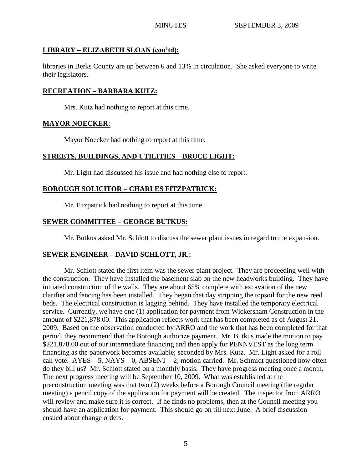# **LIBRARY – ELIZABETH SLOAN (con'td):**

libraries in Berks County are up between 6 and 13% in circulation. She asked everyone to write their legislators.

# **RECREATION – BARBARA KUTZ:**

Mrs. Kutz had nothing to report at this time.

## **MAYOR NOECKER:**

Mayor Noecker had nothing to report at this time.

# **STREETS, BUILDINGS, AND UTILITIES – BRUCE LIGHT:**

Mr. Light had discussed his issue and had nothing else to report.

# **BOROUGH SOLICITOR – CHARLES FITZPATRICK:**

Mr. Fitzpatrick had nothing to report at this time.

# **SEWER COMMITTEE – GEORGE BUTKUS:**

Mr. Butkus asked Mr. Schlott to discuss the sewer plant issues in regard to the expansion.

# **SEWER ENGINEER – DAVID SCHLOTT, JR.:**

Mr. Schlott stated the first item was the sewer plant project. They are proceeding well with the construction. They have installed the basement slab on the new headworks building. They have initiated construction of the walls. They are about 65% complete with excavation of the new clarifier and fencing has been installed. They began that day stripping the topsoil for the new reed beds. The electrical construction is lagging behind. They have installed the temporary electrical service. Currently, we have one (1) application for payment from Wickersham Construction in the amount of \$221,878.00. This application reflects work that has been completed as of August 21, 2009. Based on the observation conducted by ARRO and the work that has been completed for that period, they recommend that the Borough authorize payment. Mr. Butkus made the motion to pay \$221,878.00 out of our intermediate financing and then apply for PENNVEST as the long term financing as the paperwork becomes available; seconded by Mrs. Kutz. Mr. Light asked for a roll call vote.  $AYES - 5$ ,  $NAYS - 0$ ,  $ABSENT - 2$ ; motion carried. Mr. Schmidt questioned how often do they bill us? Mr. Schlott stated on a monthly basis. They have progress meeting once a month. The next progress meeting will be September 10, 2009. What was established at the preconstruction meeting was that two (2) weeks before a Borough Council meeting (the regular meeting) a pencil copy of the application for payment will be created. The inspector from ARRO will review and make sure it is correct. If he finds no problems, then at the Council meeting you should have an application for payment. This should go on till next June. A brief discussion ensued about change orders.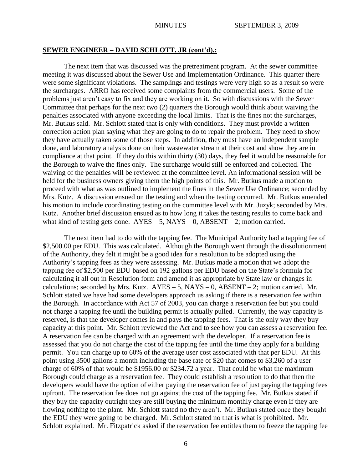## **SEWER ENGINEER – DAVID SCHLOTT, JR (cont'd).:**

The next item that was discussed was the pretreatment program. At the sewer committee meeting it was discussed about the Sewer Use and Implementation Ordinance. This quarter there were some significant violations. The samplings and testings were very high so as a result so were the surcharges. ARRO has received some complaints from the commercial users. Some of the problems just aren't easy to fix and they are working on it. So with discussions with the Sewer Committee that perhaps for the next two (2) quarters the Borough would think about waiving the penalties associated with anyone exceeding the local limits. That is the fines not the surcharges, Mr. Butkus said. Mr. Schlott stated that is only with conditions. They must provide a written correction action plan saying what they are going to do to repair the problem. They need to show they have actually taken some of those steps. In addition, they must have an independent sample done, and laboratory analysis done on their wastewater stream at their cost and show they are in compliance at that point. If they do this within thirty (30) days, they feel it would be reasonable for the Borough to waive the fines only. The surcharge would still be enforced and collected. The waiving of the penalties will be reviewed at the committee level. An informational session will be held for the business owners giving them the high points of this. Mr. Butkus made a motion to proceed with what as was outlined to implement the fines in the Sewer Use Ordinance; seconded by Mrs. Kutz. A discussion ensued on the testing and when the testing occurred. Mr. Butkus amended his motion to include coordinating testing on the committee level with Mr. Juzyk; seconded by Mrs. Kutz. Another brief discussion ensued as to how long it takes the testing results to come back and what kind of testing gets done.  $AYES - 5$ ,  $NAYS - 0$ ,  $ABSENT - 2$ ; motion carried.

The next item had to do with the tapping fee. The Municipal Authority had a tapping fee of \$2,500.00 per EDU. This was calculated. Although the Borough went through the dissolutionment of the Authority, they felt it might be a good idea for a resolution to be adopted using the Authority's tapping fees as they were assessing. Mr. Butkus made a motion that we adopt the tapping fee of \$2,500 per EDU based on 192 gallons per EDU based on the State's formula for calculating it all out in Resolution form and amend it as appropriate by State law or changes in calculations; seconded by Mrs. Kutz.  $AYES - 5$ ,  $NAYS - 0$ ,  $ABSENT - 2$ ; motion carried. Mr. Schlott stated we have had some developers approach us asking if there is a reservation fee within the Borough. In accordance with Act 57 of 2003, you can charge a reservation fee but you could not charge a tapping fee until the building permit is actually pulled. Currently, the way capacity is reserved, is that the developer comes in and pays the tapping fees. That is the only way they buy capacity at this point. Mr. Schlott reviewed the Act and to see how you can assess a reservation fee. A reservation fee can be charged with an agreement with the developer. If a reservation fee is assessed that you do not charge the cost of the tapping fee until the time they apply for a building permit. You can charge up to 60% of the average user cost associated with that per EDU. At this point using 3500 gallons a month including the base rate of \$20 that comes to \$3,260 of a user charge of 60% of that would be \$1956.00 or \$234.72 a year. That could be what the maximum Borough could charge as a reservation fee. They could establish a resolution to do that then the developers would have the option of either paying the reservation fee of just paying the tapping fees upfront. The reservation fee does not go against the cost of the tapping fee. Mr. Butkus stated if they buy the capacity outright they are still buying the minimum monthly charge even if they are flowing nothing to the plant. Mr. Schlott stated no they aren't. Mr. Butkus stated once they bought the EDU they were going to be charged. Mr. Schlott stated no that is what is prohibited. Mr. Schlott explained. Mr. Fitzpatrick asked if the reservation fee entitles them to freeze the tapping fee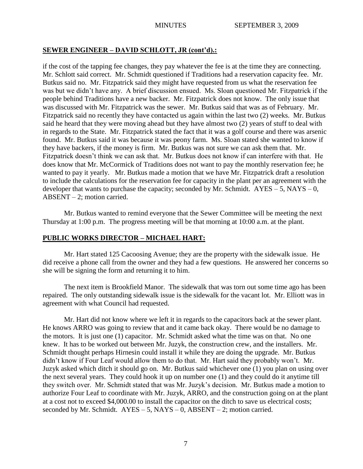## **SEWER ENGINEER – DAVID SCHLOTT, JR (cont'd).:**

if the cost of the tapping fee changes, they pay whatever the fee is at the time they are connecting. Mr. Schlott said correct. Mr. Schmidt questioned if Traditions had a reservation capacity fee. Mr. Butkus said no. Mr. Fitzpatrick said they might have requested from us what the reservation fee was but we didn't have any. A brief discussion ensued. Ms. Sloan questioned Mr. Fitzpatrick if the people behind Traditions have a new backer. Mr. Fitzpatrick does not know. The only issue that was discussed with Mr. Fitzpatrick was the sewer. Mr. Butkus said that was as of February. Mr. Fitzpatrick said no recently they have contacted us again within the last two (2) weeks. Mr. Butkus said he heard that they were moving ahead but they have almost two (2) years of stuff to deal with in regards to the State. Mr. Fitzpatrick stated the fact that it was a golf course and there was arsenic found. Mr. Butkus said it was because it was peony farm. Ms. Sloan stated she wanted to know if they have backers, if the money is firm. Mr. Butkus was not sure we can ask them that. Mr. Fitzpatrick doesn't think we can ask that. Mr. Butkus does not know if can interfere with that. He does know that Mr. McCormick of Traditions does not want to pay the monthly reservation fee; he wanted to pay it yearly. Mr. Butkus made a motion that we have Mr. Fitzpatrick draft a resolution to include the calculations for the reservation fee for capacity in the plant per an agreement with the developer that wants to purchase the capacity; seconded by Mr. Schmidt.  $AYES - 5$ , NAYS – 0, ABSENT – 2; motion carried.

Mr. Butkus wanted to remind everyone that the Sewer Committee will be meeting the next Thursday at 1:00 p.m. The progress meeting will be that morning at 10:00 a.m. at the plant.

## **PUBLIC WORKS DIRECTOR – MICHAEL HART:**

Mr. Hart stated 125 Cacoosing Avenue; they are the property with the sidewalk issue. He did receive a phone call from the owner and they had a few questions. He answered her concerns so she will be signing the form and returning it to him.

The next item is Brookfield Manor. The sidewalk that was torn out some time ago has been repaired. The only outstanding sidewalk issue is the sidewalk for the vacant lot. Mr. Elliott was in agreement with what Council had requested.

Mr. Hart did not know where we left it in regards to the capacitors back at the sewer plant. He knows ARRO was going to review that and it came back okay. There would be no damage to the motors. It is just one (1) capacitor. Mr. Schmidt asked what the time was on that. No one knew. It has to be worked out between Mr. Juzyk, the construction crew, and the installers. Mr. Schmidt thought perhaps Hirnesin could install it while they are doing the upgrade. Mr. Butkus didn't know if Four Leaf would allow them to do that. Mr. Hart said they probably won't. Mr. Juzyk asked which ditch it should go on. Mr. Butkus said whichever one (1) you plan on using over the next several years. They could hook it up on number one (1) and they could do it anytime till they switch over. Mr. Schmidt stated that was Mr. Juzyk's decision. Mr. Butkus made a motion to authorize Four Leaf to coordinate with Mr. Juzyk, ARRO, and the construction going on at the plant at a cost not to exceed \$4,000.00 to install the capacitor on the ditch to save us electrical costs; seconded by Mr. Schmidt.  $AYES - 5$ ,  $NAYS - 0$ ,  $ABSENT - 2$ ; motion carried.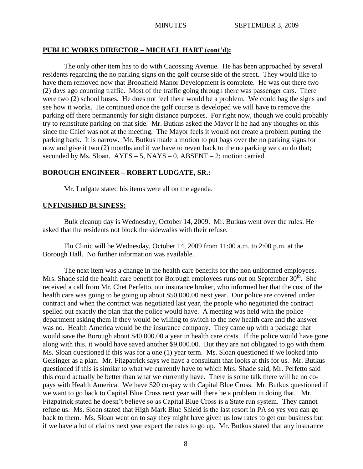## **PUBLIC WORKS DIRECTOR – MICHAEL HART (cont'd):**

The only other item has to do with Cacossing Avenue. He has been approached by several residents regarding the no parking signs on the golf course side of the street. They would like to have them removed now that Brookfield Manor Development is complete. He was out there two (2) days ago counting traffic. Most of the traffic going through there was passenger cars. There were two (2) school buses. He does not feel there would be a problem. We could bag the signs and see how it works. He continued once the golf course is developed we will have to remove the parking off there permanently for sight distance purposes. For right now, though we could probably try to reinstitute parking on that side. Mr. Butkus asked the Mayor if he had any thoughts on this since the Chief was not at the meeting. The Mayor feels it would not create a problem putting the parking back. It is narrow. Mr. Butkus made a motion to put bags over the no parking signs for now and give it two (2) months and if we have to revert back to the no parking we can do that; seconded by Ms. Sloan.  $AYES - 5$ ,  $NAYS - 0$ ,  $ABSENT - 2$ ; motion carried.

## **BOROUGH ENGINEER – ROBERT LUDGATE, SR.:**

Mr. Ludgate stated his items were all on the agenda.

## **UNFINISHED BUSINESS:**

Bulk cleanup day is Wednesday, October 14, 2009. Mr. Butkus went over the rules. He asked that the residents not block the sidewalks with their refuse.

Flu Clinic will be Wednesday, October 14, 2009 from 11:00 a.m. to 2:00 p.m. at the Borough Hall. No further information was available.

The next item was a change in the health care benefits for the non uniformed employees. Mrs. Shade said the health care benefit for Borough employees runs out on September  $30<sup>th</sup>$ . She received a call from Mr. Chet Perfetto, our insurance broker, who informed her that the cost of the health care was going to be going up about \$50,000.00 next year. Our police are covered under contract and when the contract was negotiated last year, the people who negotiated the contract spelled out exactly the plan that the police would have. A meeting was held with the police department asking them if they would be willing to switch to the new health care and the answer was no. Health America would be the insurance company. They came up with a package that would save the Borough about \$40,000.00 a year in health care costs. If the police would have gone along with this, it would have saved another \$9,000.00. But they are not obligated to go with them. Ms. Sloan questioned if this was for a one (1) year term. Ms. Sloan questioned if we looked into Gelsinger as a plan. Mr. Fitzpatrick says we have a consultant that looks at this for us. Mr. Butkus questioned if this is similar to what we currently have to which Mrs. Shade said, Mr. Perfetto said this could actually be better than what we currently have. There is some talk there will be no copays with Health America. We have \$20 co-pay with Capital Blue Cross. Mr. Butkus questioned if we want to go back to Capital Blue Cross next year will there be a problem in doing that. Mr. Fitzpatrick stated he doesn't believe so as Capital Blue Cross is a State run system. They cannot refuse us. Ms. Sloan stated that High Mark Blue Shield is the last resort in PA so yes you can go back to them. Ms. Sloan went on to say they might have given us low rates to get our business but if we have a lot of claims next year expect the rates to go up. Mr. Butkus stated that any insurance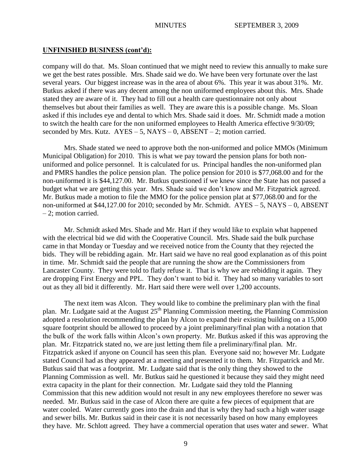#### **UNFINISHED BUSINESS (cont'd):**

company will do that. Ms. Sloan continued that we might need to review this annually to make sure we get the best rates possible. Mrs. Shade said we do. We have been very fortunate over the last several years. Our biggest increase was in the area of about 6%. This year it was about 31%. Mr. Butkus asked if there was any decent among the non uniformed employees about this. Mrs. Shade stated they are aware of it. They had to fill out a health care questionnaire not only about themselves but about their families as well. They are aware this is a possible change. Ms. Sloan asked if this includes eye and dental to which Mrs. Shade said it does. Mr. Schmidt made a motion to switch the health care for the non uniformed employees to Health America effective 9/30/09; seconded by Mrs. Kutz.  $AYES - 5$ , NAYS – 0, ABSENT – 2; motion carried.

Mrs. Shade stated we need to approve both the non-uniformed and police MMOs (Minimum Municipal Obligation) for 2010. This is what we pay toward the pension plans for both nonuniformed and police personnel. It is calculated for us. Principal handles the non-uniformed plan and PMRS handles the police pension plan. The police pension for 2010 is \$77,068.00 and for the non-uniformed it is \$44,127.00. Mr. Butkus questioned if we knew since the State has not passed a budget what we are getting this year. Mrs. Shade said we don't know and Mr. Fitzpatrick agreed. Mr. Butkus made a motion to file the MMO for the police pension plat at \$77,068.00 and for the non-uniformed at \$44,127.00 for 2010; seconded by Mr. Schmidt. AYES – 5, NAYS – 0, ABSENT – 2; motion carried.

Mr. Schmidt asked Mrs. Shade and Mr. Hart if they would like to explain what happened with the electrical bid we did with the Cooperative Council. Mrs. Shade said the bulk purchase came in that Monday or Tuesday and we received notice from the County that they rejected the bids. They will be rebidding again. Mr. Hart said we have no real good explanation as of this point in time. Mr. Schmidt said the people that are running the show are the Commissioners from Lancaster County. They were told to flatly refuse it. That is why we are rebidding it again. They are dropping First Energy and PPL. They don't want to bid it. They had so many variables to sort out as they all bid it differently. Mr. Hart said there were well over 1,200 accounts.

The next item was Alcon. They would like to combine the preliminary plan with the final plan. Mr. Ludgate said at the August  $25<sup>th</sup>$  Planning Commission meeting, the Planning Commission adopted a resolution recommending the plan by Alcon to expand their existing building on a 15,000 square footprint should be allowed to proceed by a joint preliminary/final plan with a notation that the bulk of the work falls within Alcon's own property. Mr. Butkus asked if this was approving the plan. Mr. Fitzpatrick stated no, we are just letting them file a preliminary/final plan. Mr. Fitzpatrick asked if anyone on Council has seen this plan. Everyone said no; however Mr. Ludgate stated Council had as they appeared at a meeting and presented it to them. Mr. Fitzpatrick and Mr. Butkus said that was a footprint. Mr. Ludgate said that is the only thing they showed to the Planning Commission as well. Mr. Butkus said he questioned it because they said they might need extra capacity in the plant for their connection. Mr. Ludgate said they told the Planning Commission that this new addition would not result in any new employees therefore no sewer was needed. Mr. Butkus said in the case of Alcon there are quite a few pieces of equipment that are water cooled. Water currently goes into the drain and that is why they had such a high water usage and sewer bills. Mr. Butkus said in their case it is not necessarily based on how many employees they have. Mr. Schlott agreed. They have a commercial operation that uses water and sewer. What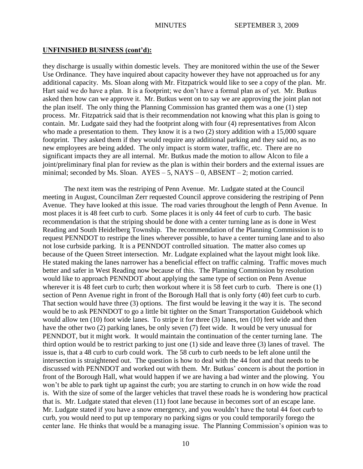#### **UNFINISHED BUSINESS (cont'd):**

they discharge is usually within domestic levels. They are monitored within the use of the Sewer Use Ordinance. They have inquired about capacity however they have not approached us for any additional capacity. Ms. Sloan along with Mr. Fitzpatrick would like to see a copy of the plan. Mr. Hart said we do have a plan. It is a footprint; we don't have a formal plan as of yet. Mr. Butkus asked then how can we approve it. Mr. Butkus went on to say we are approving the joint plan not the plan itself. The only thing the Planning Commission has granted them was a one (1) step process. Mr. Fitzpatrick said that is their recommendation not knowing what this plan is going to contain. Mr. Ludgate said they had the footprint along with four (4) representatives from Alcon who made a presentation to them. They know it is a two (2) story addition with a 15,000 square footprint. They asked them if they would require any additional parking and they said no, as no new employees are being added. The only impact is storm water, traffic, etc. There are no significant impacts they are all internal. Mr. Butkus made the motion to allow Alcon to file a joint/preliminary final plan for review as the plan is within their borders and the external issues are minimal; seconded by Ms. Sloan.  $AYES - 5$ ,  $NAYS - 0$ ,  $ABSENT - 2$ ; motion carried.

The next item was the restriping of Penn Avenue. Mr. Ludgate stated at the Council meeting in August, Councilman Zerr requested Council approve considering the restriping of Penn Avenue. They have looked at this issue. The road varies throughout the length of Penn Avenue. In most places it is 48 feet curb to curb. Some places it is only 44 feet of curb to curb. The basic recommendation is that the striping should be done with a center turning lane as is done in West Reading and South Heidelberg Township. The recommendation of the Planning Commission is to request PENNDOT to restripe the lines wherever possible, to have a center turning lane and to also not lose curbside parking. It is a PENNDOT controlled situation. The matter also comes up because of the Queen Street intersection. Mr. Ludgate explained what the layout might look like. He stated making the lanes narrower has a beneficial effect on traffic calming. Traffic moves much better and safer in West Reading now because of this. The Planning Commission by resolution would like to approach PENNDOT about applying the same type of section on Penn Avenue wherever it is 48 feet curb to curb; then workout where it is 58 feet curb to curb. There is one (1) section of Penn Avenue right in front of the Borough Hall that is only forty (40) feet curb to curb. That section would have three (3) options. The first would be leaving it the way it is. The second would be to ask PENNDOT to go a little bit tighter on the Smart Transportation Guidebook which would allow ten (10) foot wide lanes. To stripe it for three (3) lanes, ten (10) feet wide and then have the other two (2) parking lanes, be only seven (7) feet wide. It would be very unusual for PENNDOT, but it might work. It would maintain the continuation of the center turning lane. The third option would be to restrict parking to just one (1) side and leave three (3) lanes of travel. The issue is, that a 48 curb to curb could work. The 58 curb to curb needs to be left alone until the intersection is straightened out. The question is how to deal with the 44 foot and that needs to be discussed with PENNDOT and worked out with them. Mr. Butkus' concern is about the portion in front of the Borough Hall, what would happen if we are having a bad winter and the plowing. You won't be able to park tight up against the curb; you are starting to crunch in on how wide the road is. With the size of some of the larger vehicles that travel these roads he is wondering how practical that is. Mr. Ludgate stated that eleven (11) foot lane because in becomes sort of an escape lane. Mr. Ludgate stated if you have a snow emergency, and you wouldn't have the total 44 foot curb to curb, you would need to put up temporary no parking signs or you could temporarily forego the center lane. He thinks that would be a managing issue. The Planning Commission's opinion was to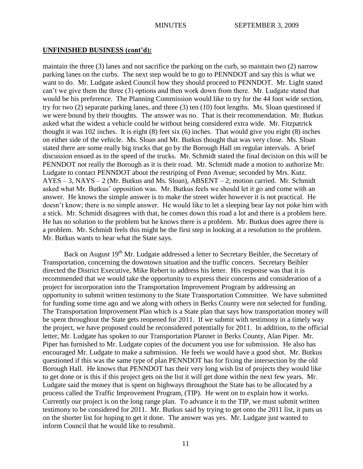## **UNFINISHED BUSINESS (cont'd):**

maintain the three (3) lanes and not sacrifice the parking on the curb, so maintain two (2) narrow parking lanes on the curbs. The next step would be to go to PENNDOT and say this is what we want to do. Mr. Ludgate asked Council how they should proceed to PENNDOT. Mr. Light stated can't we give them the three (3) options and then work down from there. Mr. Ludgate stated that would be his preference. The Planning Commission would like to try for the 44 foot wide section, try for two (2) separate parking lanes, and three (3) ten (10) foot lengths. Ms. Sloan questioned if we were bound by their thoughts. The answer was no. That is their recommendation. Mr. Butkus asked what the widest a vehicle could be without being considered extra wide. Mr. Fitzpatrick thought it was 102 inches. It is eight (8) feet six (6) inches. That would give you eight (8) inches on either side of the vehicle. Ms. Sloan and Mr. Butkus thought that was very close. Ms. Sloan stated there are some really big trucks that go by the Borough Hall on regular intervals. A brief discussion ensued as to the speed of the trucks. Mr. Schmidt stated the final decision on this will be PENNDOT not really the Borough as it is their road. Mr. Schmidt made a motion to authorize Mr. Ludgate to contact PENNDOT about the restriping of Penn Avenue; seconded by Mrs. Kutz.  $AYES - 3$ , NAYS – 2 (Mr. Butkus and Ms. Sloan), ABSENT – 2; motion carried. Mr. Schmidt asked what Mr. Butkus' opposition was. Mr. Butkus feels we should let it go and come with an answer. He knows the simple answer is to make the street wider however it is not practical. He doesn't know; there is no simple answer. He would like to let a sleeping bear lay not poke him with a stick. Mr. Schmidt disagrees with that, he comes down this road a lot and there is a problem here. He has no solution to the problem but he knows there is a problem. Mr. Butkus does agree there is a problem. Mr. Schmidt feels this might be the first step in looking at a resolution to the problem. Mr. Butkus wants to hear what the State says.

Back on August 19<sup>th</sup> Mr. Ludgate addressed a letter to Secretary Beihler, the Secretary of Transportation, concerning the downtown situation and the traffic concers. Secretary Beihler directed the District Executive, Mike Rebert to address his letter. His response was that it is recommended that we would take the opportunity to express their concerns and consideration of a project for incorporation into the Transportation Improvement Program by addressing an opportunity to submit written testimony to the State Transportation Committee. We have submitted for funding some time ago and we along with others in Berks County were not selected for funding. The Transportation Improvement Plan which is a State plan that says how transportation money will be spent throughout the State gets reopened for 2011. If we submit with testimony in a timely way the project, we have proposed could be reconsidered potentially for 2011. In addition, to the official letter, Mr. Ludgate has spoken to our Transportation Planner in Berks County, Alan Piper. Mr. Piper has furnished to Mr. Ludgate copies of the document you use for submission. He also has encouraged Mr. Ludgate to make a submission. He feels we would have a good shot. Mr. Butkus questioned if this was the same type of plan PENNDOT has for fixing the intersection by the old Borough Hall. He knows that PENNDOT has their very long wish list of projects they would like to get done or is this if this project gets on the list it will get done within the next few years. Mr. Ludgate said the money that is spent on highways throughout the State has to be allocated by a process called the Traffic Improvement Program, (TIP). He went on to explain how it works. Currently our project is on the long range plan. To advance it to the TIP, we must submit written testimony to be considered for 2011. Mr. Butkus said by trying to get onto the 2011 list, it puts us on the shorter list for hoping to get it done. The answer was yes. Mr. Ludgate just wanted to inform Council that he would like to resubmit.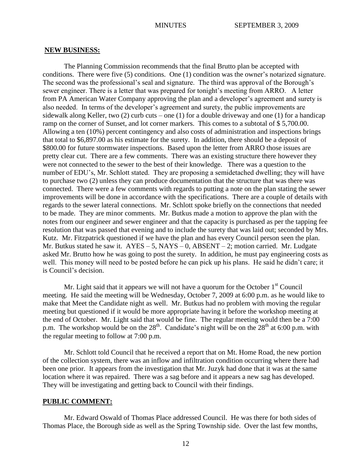#### **NEW BUSINESS:**

The Planning Commission recommends that the final Brutto plan be accepted with conditions. There were five (5) conditions. One (1) condition was the owner's notarized signature. The second was the professional's seal and signature. The third was approval of the Borough's sewer engineer. There is a letter that was prepared for tonight's meeting from ARRO. A letter from PA American Water Company approving the plan and a developer's agreement and surety is also needed. In terms of the developer's agreement and surety, the public improvements are sidewalk along Keller, two (2) curb cuts – one (1) for a double driveway and one (1) for a handicap ramp on the corner of Sunset, and lot corner markers. This comes to a subtotal of \$ 5,700.00. Allowing a ten (10%) percent contingency and also costs of administration and inspections brings that total to \$6,897.00 as his estimate for the surety. In addition, there should be a deposit of \$800.00 for future stormwater inspections. Based upon the letter from ARRO those issues are pretty clear cut. There are a few comments. There was an existing structure there however they were not connected to the sewer to the best of their knowledge. There was a question to the number of EDU's, Mr. Schlott stated. They are proposing a semidetached dwelling; they will have to purchase two (2) unless they can produce documentation that the structure that was there was connected. There were a few comments with regards to putting a note on the plan stating the sewer improvements will be done in accordance with the specifications. There are a couple of details with regards to the sewer lateral connections. Mr. Schlott spoke briefly on the connections that needed to be made. They are minor comments. Mr. Butkus made a motion to approve the plan with the notes from our engineer and sewer engineer and that the capacity is purchased as per the tapping fee resolution that was passed that evening and to include the surety that was laid out; seconded by Mrs. Kutz. Mr. Fitzpatrick questioned if we have the plan and has every Council person seen the plan. Mr. Butkus stated he saw it.  $AYES - 5$ ,  $NAYS - 0$ ,  $ABSENT - 2$ ; motion carried. Mr. Ludgate asked Mr. Brutto how he was going to post the surety. In addition, he must pay engineering costs as well. This money will need to be posted before he can pick up his plans. He said he didn't care; it is Council's decision.

Mr. Light said that it appears we will not have a quorum for the October  $1<sup>st</sup>$  Council meeting. He said the meeting will be Wednesday, October 7, 2009 at 6:00 p.m. as he would like to make that Meet the Candidate night as well. Mr. Butkus had no problem with moving the regular meeting but questioned if it would be more appropriate having it before the workshop meeting at the end of October. Mr. Light said that would be fine. The regular meeting would then be a 7:00 p.m. The workshop would be on the  $28<sup>th</sup>$ . Candidate's night will be on the  $28<sup>th</sup>$  at 6:00 p.m. with the regular meeting to follow at 7:00 p.m.

Mr. Schlott told Council that he received a report that on Mt. Home Road, the new portion of the collection system, there was an inflow and infiltration condition occurring where there had been one prior. It appears from the investigation that Mr. Juzyk had done that it was at the same location where it was repaired. There was a sag before and it appears a new sag has developed. They will be investigating and getting back to Council with their findings.

### **PUBLIC COMMENT:**

Mr. Edward Oswald of Thomas Place addressed Council. He was there for both sides of Thomas Place, the Borough side as well as the Spring Township side. Over the last few months,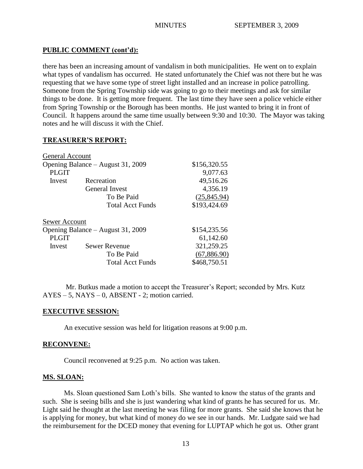## **PUBLIC COMMENT (cont'd):**

there has been an increasing amount of vandalism in both municipalities. He went on to explain what types of vandalism has occurred. He stated unfortunately the Chief was not there but he was requesting that we have some type of street light installed and an increase in police patrolling. Someone from the Spring Township side was going to go to their meetings and ask for similar things to be done. It is getting more frequent. The last time they have seen a police vehicle either from Spring Township or the Borough has been months. He just wanted to bring it in front of Council. It happens around the same time usually between 9:30 and 10:30. The Mayor was taking notes and he will discuss it with the Chief.

## **TREASURER'S REPORT:**

| \$156,320.55 |
|--------------|
| 9,077.63     |
| 49,516.26    |
| 4,356.19     |
| (25, 845.94) |
| \$193,424.69 |
|              |
| \$154,235.56 |
| 61,142.60    |
| 321,259.25   |
| (67,886.90)  |
| \$468,750.51 |
|              |

Mr. Butkus made a motion to accept the Treasurer's Report; seconded by Mrs. Kutz AYES – 5, NAYS – 0, ABSENT - 2; motion carried.

## **EXECUTIVE SESSION:**

An executive session was held for litigation reasons at 9:00 p.m.

## **RECONVENE:**

Council reconvened at 9:25 p.m. No action was taken.

## **MS. SLOAN:**

Ms. Sloan questioned Sam Loth's bills. She wanted to know the status of the grants and such. She is seeing bills and she is just wandering what kind of grants he has secured for us. Mr. Light said he thought at the last meeting he was filing for more grants. She said she knows that he is applying for money, but what kind of money do we see in our hands. Mr. Ludgate said we had the reimbursement for the DCED money that evening for LUPTAP which he got us. Other grant